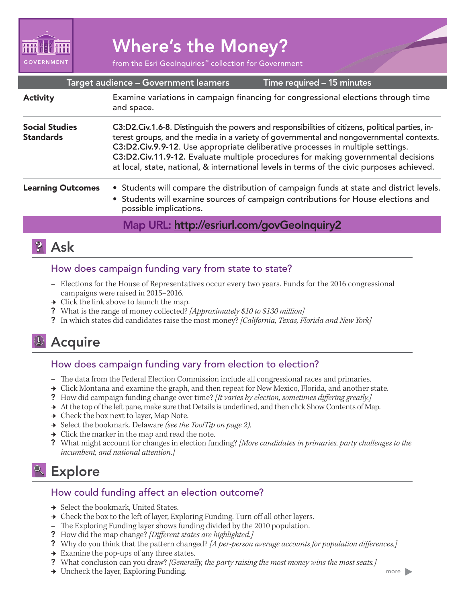

# Where's the Money?

from the Esri GeoInquiries™ collection for Government

| Target audience - Government learners<br>Time required - 15 minutes |                                                                                                                                                                                                                                                                                                                                                                                                                                                                  |
|---------------------------------------------------------------------|------------------------------------------------------------------------------------------------------------------------------------------------------------------------------------------------------------------------------------------------------------------------------------------------------------------------------------------------------------------------------------------------------------------------------------------------------------------|
| <b>Activity</b>                                                     | Examine variations in campaign financing for congressional elections through time<br>and space.                                                                                                                                                                                                                                                                                                                                                                  |
| <b>Social Studies</b><br><b>Standards</b>                           | C3:D2.Civ.1.6-8. Distinguish the powers and responsibilities of citizens, political parties, in-<br>terest groups, and the media in a variety of governmental and nongovernmental contexts.<br>C3:D2.Civ.9.9-12. Use appropriate deliberative processes in multiple settings.<br>C3:D2.Civ.11.9-12. Evaluate multiple procedures for making governmental decisions<br>at local, state, national, & international levels in terms of the civic purposes achieved. |
| <b>Learning Outcomes</b>                                            | • Students will compare the distribution of campaign funds at state and district levels.<br>• Students will examine sources of campaign contributions for House elections and<br>possible implications.                                                                                                                                                                                                                                                          |
|                                                                     | Map URL: http://esriurl.com/govGeoInquiry2                                                                                                                                                                                                                                                                                                                                                                                                                       |
|                                                                     |                                                                                                                                                                                                                                                                                                                                                                                                                                                                  |

## **P** Ask

#### How does campaign funding vary from state to state?

- **–** Elections for the House of Representatives occur every two years. Funds for the 2016 congressional campaigns were raised in 2015–2016.
- $\rightarrow$  Click the link above to launch the map.
- ? What is the range of money collected? *[Approximately \$10 to \$130 million]*
- ? In which states did candidates raise the most money? *[California, Texas, Florida and New York]*

## <sup>1</sup> Acquire

#### How does campaign funding vary from election to election?

- **–** The data from the Federal Election Commission include all congressional races and primaries.
- → Click Montana and examine the graph, and then repeat for New Mexico, Florida, and another state.
- ? How did campaign funding change over time? *[It varies by election, sometimes differing greatly.]*
- → At the top of the left pane, make sure that Details is underlined, and then click Show Contents of Map.
- $\rightarrow$  Check the box next to layer, Map Note.
- ʅ Select the bookmark, Delaware *(see the ToolTip on page 2)*.
- $\rightarrow$  Click the marker in the map and read the note.
- ? What might account for changes in election funding? *[More candidates in primaries, party challenges to the incumbent, and national attention.]*

## <sup>Q</sup> Explore

#### How could funding affect an election outcome?

- → Select the bookmark, United States.
- → Check the box to the left of layer, Exploring Funding. Turn off all other layers.
- **–** The Exploring Funding layer shows funding divided by the 2010 population.
- ? How did the map change? *[Different states are highlighted.]*
- ? Why do you think that the pattern changed? *[A per-person average accounts for population differences.]*
- $\rightarrow$  Examine the pop-ups of any three states.
- ? What conclusion can you draw? *[Generally, the party raising the most money wins the most seats.]*
- **→** Uncheck the layer, Exploring Funding.